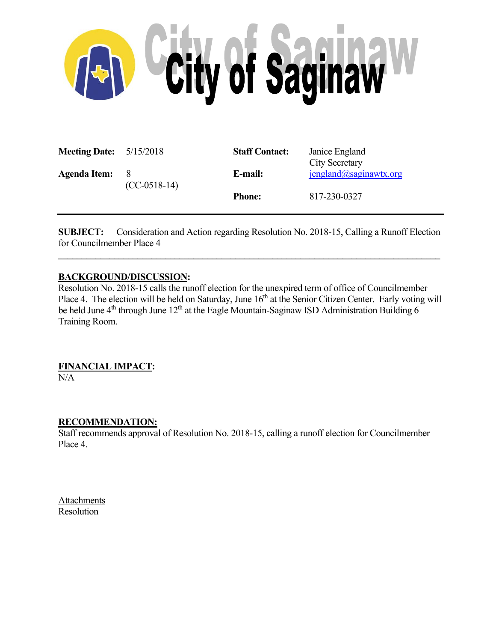

| <b>Meeting Date:</b> $5/15/2018$ |                       | <b>Staff Contact:</b> | Janice England<br><b>City Secretary</b> |
|----------------------------------|-----------------------|-----------------------|-----------------------------------------|
| <b>Agenda Item:</b>              | - 8<br>$(CC-0518-14)$ | E-mail:               | $j$ england@saginawtx.org               |
|                                  |                       | <b>Phone:</b>         | 817-230-0327                            |

**SUBJECT:** Consideration and Action regarding Resolution No. 2018-15, Calling a Runoff Election for Councilmember Place 4

 $\mathcal{L}_\mathcal{L} = \{ \mathcal{L}_\mathcal{L} = \{ \mathcal{L}_\mathcal{L} = \{ \mathcal{L}_\mathcal{L} = \{ \mathcal{L}_\mathcal{L} = \{ \mathcal{L}_\mathcal{L} = \{ \mathcal{L}_\mathcal{L} = \{ \mathcal{L}_\mathcal{L} = \{ \mathcal{L}_\mathcal{L} = \{ \mathcal{L}_\mathcal{L} = \{ \mathcal{L}_\mathcal{L} = \{ \mathcal{L}_\mathcal{L} = \{ \mathcal{L}_\mathcal{L} = \{ \mathcal{L}_\mathcal{L} = \{ \mathcal{L}_\mathcal{$ 

## **BACKGROUND/DISCUSSION:**

Resolution No. 2018-15 calls the runoff election for the unexpired term of office of Councilmember Place 4. The election will be held on Saturday, June 16<sup>th</sup> at the Senior Citizen Center. Early voting will be held June  $4<sup>th</sup>$  through June  $12<sup>th</sup>$  at the Eagle Mountain-Saginaw ISD Administration Building 6 – Training Room.

# **FINANCIAL IMPACT:**

N/A

#### **RECOMMENDATION:**

Staff recommends approval of Resolution No. 2018-15, calling a runoff election for Councilmember Place 4.

Attachments Resolution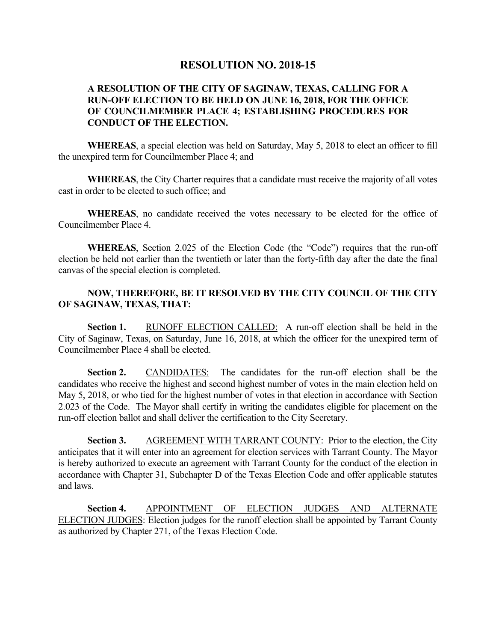# **RESOLUTION NO. 2018-15**

## **A RESOLUTION OF THE CITY OF SAGINAW, TEXAS, CALLING FOR A RUN-OFF ELECTION TO BE HELD ON JUNE 16, 2018, FOR THE OFFICE OF COUNCILMEMBER PLACE 4; ESTABLISHING PROCEDURES FOR CONDUCT OF THE ELECTION.**

 **WHEREAS**, a special election was held on Saturday, May 5, 2018 to elect an officer to fill the unexpired term for Councilmember Place 4; and

 **WHEREAS**, the City Charter requires that a candidate must receive the majority of all votes cast in order to be elected to such office; and

 **WHEREAS**, no candidate received the votes necessary to be elected for the office of Councilmember Place 4.

 **WHEREAS**, Section 2.025 of the Election Code (the "Code") requires that the run-off election be held not earlier than the twentieth or later than the forty-fifth day after the date the final canvas of the special election is completed.

## **NOW, THEREFORE, BE IT RESOLVED BY THE CITY COUNCIL OF THE CITY OF SAGINAW, TEXAS, THAT:**

 **Section 1.** RUNOFF ELECTION CALLED: A run-off election shall be held in the City of Saginaw, Texas, on Saturday, June 16, 2018, at which the officer for the unexpired term of Councilmember Place 4 shall be elected.

 **Section 2.** CANDIDATES: The candidates for the run-off election shall be the candidates who receive the highest and second highest number of votes in the main election held on May 5, 2018, or who tied for the highest number of votes in that election in accordance with Section 2.023 of the Code. The Mayor shall certify in writing the candidates eligible for placement on the run-off election ballot and shall deliver the certification to the City Secretary.

**Section 3.** AGREEMENT WITH TARRANT COUNTY: Prior to the election, the City anticipates that it will enter into an agreement for election services with Tarrant County. The Mayor is hereby authorized to execute an agreement with Tarrant County for the conduct of the election in accordance with Chapter 31, Subchapter D of the Texas Election Code and offer applicable statutes and laws.

**Section 4.** APPOINTMENT OF ELECTION JUDGES AND ALTERNATE ELECTION JUDGES: Election judges for the runoff election shall be appointed by Tarrant County as authorized by Chapter 271, of the Texas Election Code.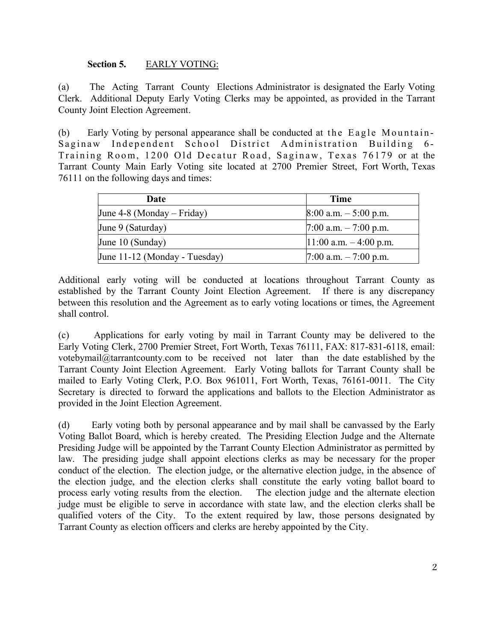## **Section 5.** EARLY VOTING:

(a) The Acting Tarrant County Elections Administrator is designated the Early Voting Clerk. Additional Deputy Early Voting Clerks may be appointed, as provided in the Tarrant County Joint Election Agreement.

(b) Early Voting by personal appearance shall be conducted at the Eagle Mountain-Saginaw Independent School District Administration Building 6- Training Room, 1200 Old Decatur Road, Saginaw, Texas 76179 or at the Tarrant County Main Early Voting site located at 2700 Premier Street, Fort Worth, Texas 76111 on the following days and times:

| Date                          | <b>Time</b>               |
|-------------------------------|---------------------------|
| June 4-8 (Monday – Friday)    | $8:00$ a.m. $-5:00$ p.m.  |
| June 9 (Saturday)             | 7:00 a.m. $-7:00$ p.m.    |
| June 10 (Sunday)              | $11:00$ a.m. $-4:00$ p.m. |
| June 11-12 (Monday - Tuesday) | $7:00$ a.m. $-7:00$ p.m.  |

Additional early voting will be conducted at locations throughout Tarrant County as established by the Tarrant County Joint Election Agreement. If there is any discrepancy between this resolution and the Agreement as to early voting locations or times, the Agreement shall control.

(c) Applications for early voting by mail in Tarrant County may be delivered to the Early Voting Clerk, 2700 Premier Street, Fort Worth, Texas 76111, FAX: 817-831-6118, email: votebymail@tarrantcounty.com to be received not later than the date established by the Tarrant County Joint Election Agreement. Early Voting ballots for Tarrant County shall be mailed to Early Voting Clerk, P.O. Box 961011, Fort Worth, Texas, 76161-0011. The City Secretary is directed to forward the applications and ballots to the Election Administrator as provided in the Joint Election Agreement.

(d) Early voting both by personal appearance and by mail shall be canvassed by the Early Voting Ballot Board, which is hereby created. The Presiding Election Judge and the Alternate Presiding Judge will be appointed by the Tarrant County Election Administrator as permitted by law. The presiding judge shall appoint elections clerks as may be necessary for the proper conduct of the election. The election judge, or the alternative election judge, in the absence of the election judge, and the election clerks shall constitute the early voting ballot board to process early voting results from the election. The election judge and the alternate election judge must be eligible to serve in accordance with state law, and the election clerks shall be qualified voters of the City. To the extent required by law, those persons designated by Tarrant County as election officers and clerks are hereby appointed by the City.